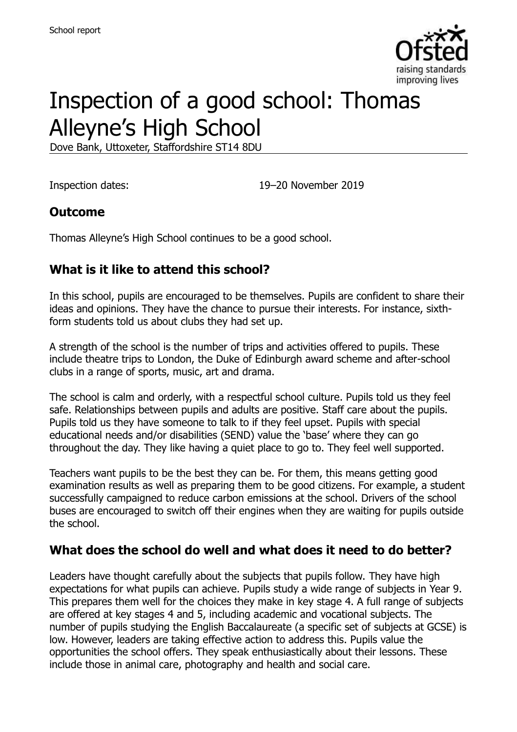

# Inspection of a good school: Thomas Alleyne's High School

Dove Bank, Uttoxeter, Staffordshire ST14 8DU

Inspection dates: 19–20 November 2019

#### **Outcome**

Thomas Alleyne's High School continues to be a good school.

#### **What is it like to attend this school?**

In this school, pupils are encouraged to be themselves. Pupils are confident to share their ideas and opinions. They have the chance to pursue their interests. For instance, sixthform students told us about clubs they had set up.

A strength of the school is the number of trips and activities offered to pupils. These include theatre trips to London, the Duke of Edinburgh award scheme and after-school clubs in a range of sports, music, art and drama.

The school is calm and orderly, with a respectful school culture. Pupils told us they feel safe. Relationships between pupils and adults are positive. Staff care about the pupils. Pupils told us they have someone to talk to if they feel upset. Pupils with special educational needs and/or disabilities (SEND) value the 'base' where they can go throughout the day. They like having a quiet place to go to. They feel well supported.

Teachers want pupils to be the best they can be. For them, this means getting good examination results as well as preparing them to be good citizens. For example, a student successfully campaigned to reduce carbon emissions at the school. Drivers of the school buses are encouraged to switch off their engines when they are waiting for pupils outside the school.

#### **What does the school do well and what does it need to do better?**

Leaders have thought carefully about the subjects that pupils follow. They have high expectations for what pupils can achieve. Pupils study a wide range of subjects in Year 9. This prepares them well for the choices they make in key stage 4. A full range of subjects are offered at key stages 4 and 5, including academic and vocational subjects. The number of pupils studying the English Baccalaureate (a specific set of subjects at GCSE) is low. However, leaders are taking effective action to address this. Pupils value the opportunities the school offers. They speak enthusiastically about their lessons. These include those in animal care, photography and health and social care.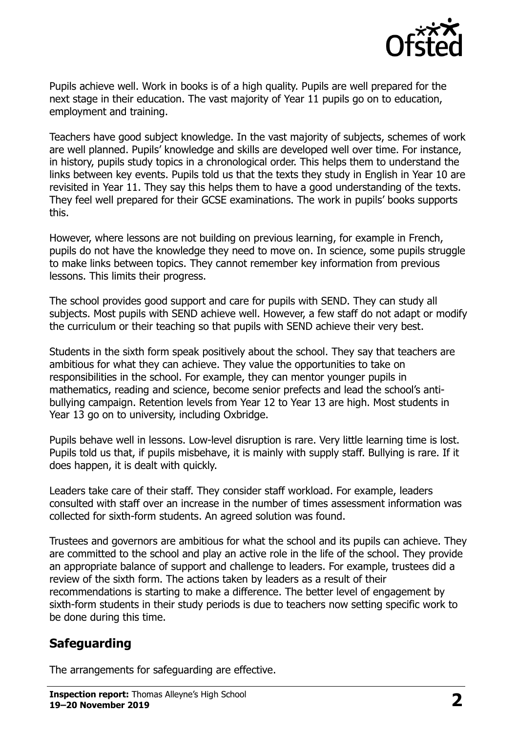

Pupils achieve well. Work in books is of a high quality. Pupils are well prepared for the next stage in their education. The vast majority of Year 11 pupils go on to education, employment and training.

Teachers have good subject knowledge. In the vast majority of subjects, schemes of work are well planned. Pupils' knowledge and skills are developed well over time. For instance, in history, pupils study topics in a chronological order. This helps them to understand the links between key events. Pupils told us that the texts they study in English in Year 10 are revisited in Year 11. They say this helps them to have a good understanding of the texts. They feel well prepared for their GCSE examinations. The work in pupils' books supports this.

However, where lessons are not building on previous learning, for example in French, pupils do not have the knowledge they need to move on. In science, some pupils struggle to make links between topics. They cannot remember key information from previous lessons. This limits their progress.

The school provides good support and care for pupils with SEND. They can study all subjects. Most pupils with SEND achieve well. However, a few staff do not adapt or modify the curriculum or their teaching so that pupils with SEND achieve their very best.

Students in the sixth form speak positively about the school. They say that teachers are ambitious for what they can achieve. They value the opportunities to take on responsibilities in the school. For example, they can mentor younger pupils in mathematics, reading and science, become senior prefects and lead the school's antibullying campaign. Retention levels from Year 12 to Year 13 are high. Most students in Year 13 go on to university, including Oxbridge.

Pupils behave well in lessons. Low-level disruption is rare. Very little learning time is lost. Pupils told us that, if pupils misbehave, it is mainly with supply staff. Bullying is rare. If it does happen, it is dealt with quickly.

Leaders take care of their staff. They consider staff workload. For example, leaders consulted with staff over an increase in the number of times assessment information was collected for sixth-form students. An agreed solution was found.

Trustees and governors are ambitious for what the school and its pupils can achieve. They are committed to the school and play an active role in the life of the school. They provide an appropriate balance of support and challenge to leaders. For example, trustees did a review of the sixth form. The actions taken by leaders as a result of their recommendations is starting to make a difference. The better level of engagement by sixth-form students in their study periods is due to teachers now setting specific work to be done during this time.

# **Safeguarding**

The arrangements for safeguarding are effective.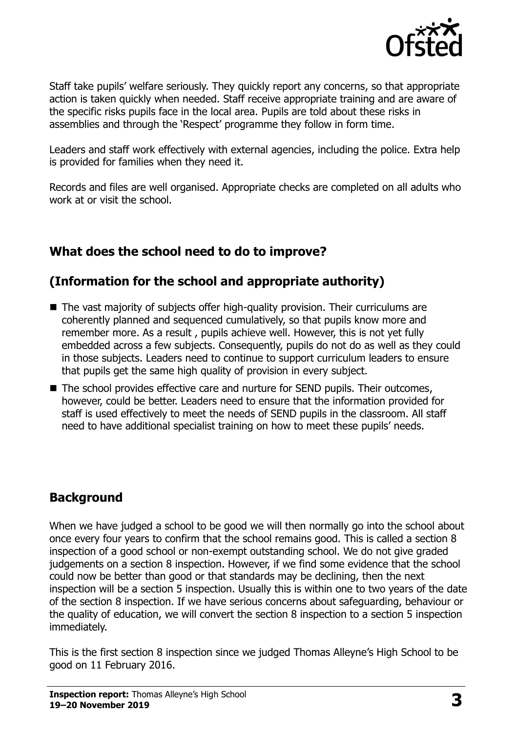

Staff take pupils' welfare seriously. They quickly report any concerns, so that appropriate action is taken quickly when needed. Staff receive appropriate training and are aware of the specific risks pupils face in the local area. Pupils are told about these risks in assemblies and through the 'Respect' programme they follow in form time.

Leaders and staff work effectively with external agencies, including the police. Extra help is provided for families when they need it.

Records and files are well organised. Appropriate checks are completed on all adults who work at or visit the school.

# **What does the school need to do to improve?**

# **(Information for the school and appropriate authority)**

- The vast majority of subjects offer high-quality provision. Their curriculums are coherently planned and sequenced cumulatively, so that pupils know more and remember more. As a result , pupils achieve well. However, this is not yet fully embedded across a few subjects. Consequently, pupils do not do as well as they could in those subjects. Leaders need to continue to support curriculum leaders to ensure that pupils get the same high quality of provision in every subject.
- The school provides effective care and nurture for SEND pupils. Their outcomes, however, could be better. Leaders need to ensure that the information provided for staff is used effectively to meet the needs of SEND pupils in the classroom. All staff need to have additional specialist training on how to meet these pupils' needs.

# **Background**

When we have judged a school to be good we will then normally go into the school about once every four years to confirm that the school remains good. This is called a section 8 inspection of a good school or non-exempt outstanding school. We do not give graded judgements on a section 8 inspection. However, if we find some evidence that the school could now be better than good or that standards may be declining, then the next inspection will be a section 5 inspection. Usually this is within one to two years of the date of the section 8 inspection. If we have serious concerns about safeguarding, behaviour or the quality of education, we will convert the section 8 inspection to a section 5 inspection immediately.

This is the first section 8 inspection since we judged Thomas Alleyne's High School to be good on 11 February 2016.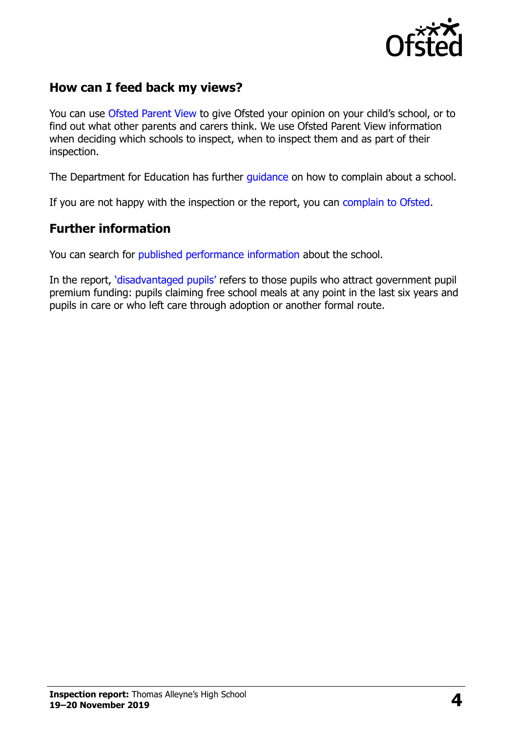

#### **How can I feed back my views?**

You can use [Ofsted Parent View](https://parentview.ofsted.gov.uk/) to give Ofsted your opinion on your child's school, or to find out what other parents and carers think. We use Ofsted Parent View information when deciding which schools to inspect, when to inspect them and as part of their inspection.

The Department for Education has further quidance on how to complain about a school.

If you are not happy with the inspection or the report, you can [complain to Ofsted.](https://www.gov.uk/complain-ofsted-report)

#### **Further information**

You can search for [published performance information](http://www.compare-school-performance.service.gov.uk/) about the school.

In the report, '[disadvantaged pupils](http://www.gov.uk/guidance/pupil-premium-information-for-schools-and-alternative-provision-settings)' refers to those pupils who attract government pupil premium funding: pupils claiming free school meals at any point in the last six years and pupils in care or who left care through adoption or another formal route.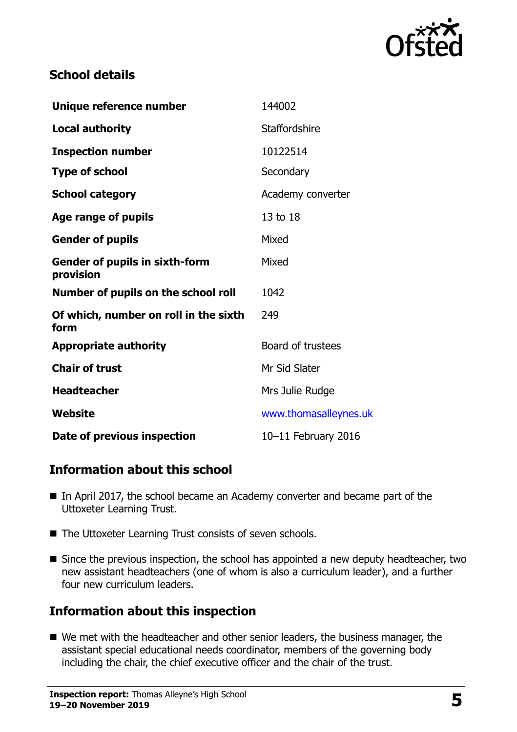

#### **School details**

| Unique reference number                            | 144002                |
|----------------------------------------------------|-----------------------|
| <b>Local authority</b>                             | Staffordshire         |
| <b>Inspection number</b>                           | 10122514              |
| <b>Type of school</b>                              | Secondary             |
| <b>School category</b>                             | Academy converter     |
| Age range of pupils                                | 13 to 18              |
| <b>Gender of pupils</b>                            | Mixed                 |
| <b>Gender of pupils in sixth-form</b><br>provision | Mixed                 |
| Number of pupils on the school roll                | 1042                  |
| Of which, number on roll in the sixth<br>form      | 249                   |
| <b>Appropriate authority</b>                       | Board of trustees     |
| <b>Chair of trust</b>                              | Mr Sid Slater         |
| <b>Headteacher</b>                                 | Mrs Julie Rudge       |
| Website                                            | www.thomasalleynes.uk |
| Date of previous inspection                        | 10-11 February 2016   |

# **Information about this school**

- In April 2017, the school became an Academy converter and became part of the Uttoxeter Learning Trust.
- The Uttoxeter Learning Trust consists of seven schools.
- Since the previous inspection, the school has appointed a new deputy headteacher, two new assistant headteachers (one of whom is also a curriculum leader), and a further four new curriculum leaders.

# **Information about this inspection**

■ We met with the headteacher and other senior leaders, the business manager, the assistant special educational needs coordinator, members of the governing body including the chair, the chief executive officer and the chair of the trust.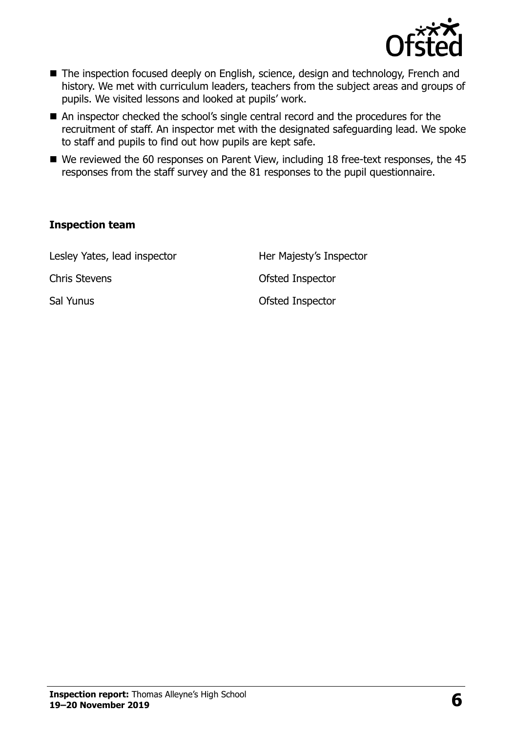

- The inspection focused deeply on English, science, design and technology, French and history. We met with curriculum leaders, teachers from the subject areas and groups of pupils. We visited lessons and looked at pupils' work.
- An inspector checked the school's single central record and the procedures for the recruitment of staff. An inspector met with the designated safeguarding lead. We spoke to staff and pupils to find out how pupils are kept safe.
- We reviewed the 60 responses on Parent View, including 18 free-text responses, the 45 responses from the staff survey and the 81 responses to the pupil questionnaire.

#### **Inspection team**

Lesley Yates, lead inspector **Her Majesty's Inspector** Chris Stevens **Chris** Stevens **Chris** Stevens **Chris** Stevens **Chris** Stevens **Chris** Stevens **Chris** Stevens **Chris** Stevens **Chris** Stevens **Chris** Stevens **Chris** Stevens **Chris** Stevens **Chris** Stevens **Chris Stevens** Sal Yunus **Sal Yunus** Ofsted Inspector